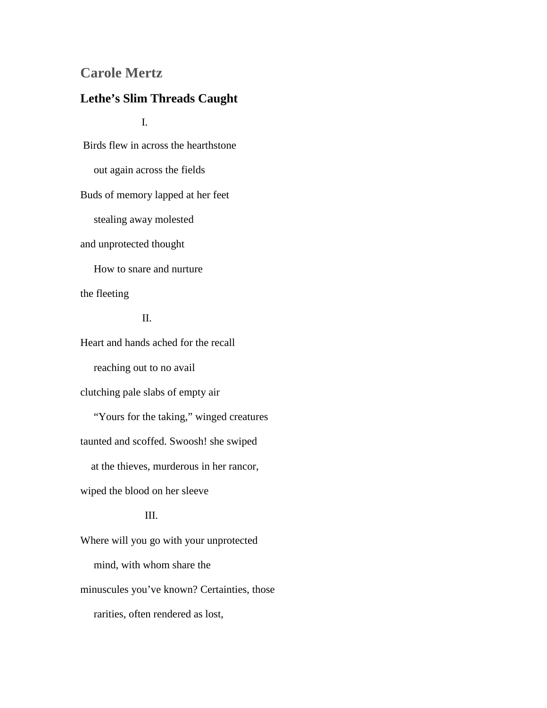## **Carole Mertz**

## **Lethe's Slim Threads Caught**

I.

Birds flew in across the hearthstone out again across the fields Buds of memory lapped at her feet stealing away molested and unprotected thought How to snare and nurture the fleeting

II.

Heart and hands ached for the recall reaching out to no avail clutching pale slabs of empty air "Yours for the taking," winged creatures taunted and scoffed. Swoosh! she swiped at the thieves, murderous in her rancor, wiped the blood on her sleeve III.

Where will you go with your unprotected mind, with whom share the minuscules you've known? Certainties, those rarities, often rendered as lost,